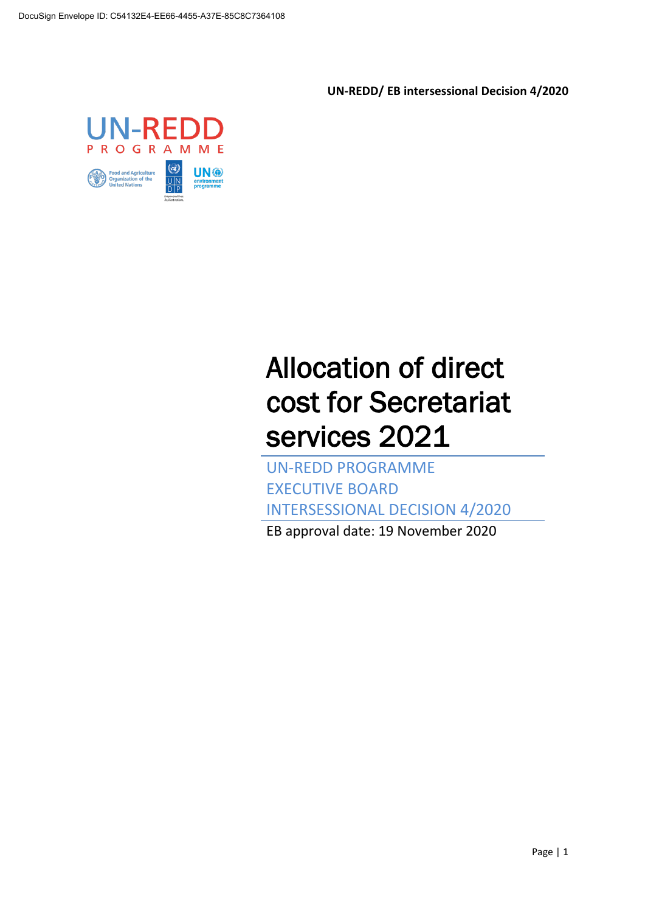**UN-REDD/ EB intersessional Decision 4/2020**



# Allocation of direct cost for Secretariat services 2021

UN-REDD PROGRAMME EXECUTIVE BOARD INTERSESSIONAL DECISION 4/2020

EB approval date: 19 November 2020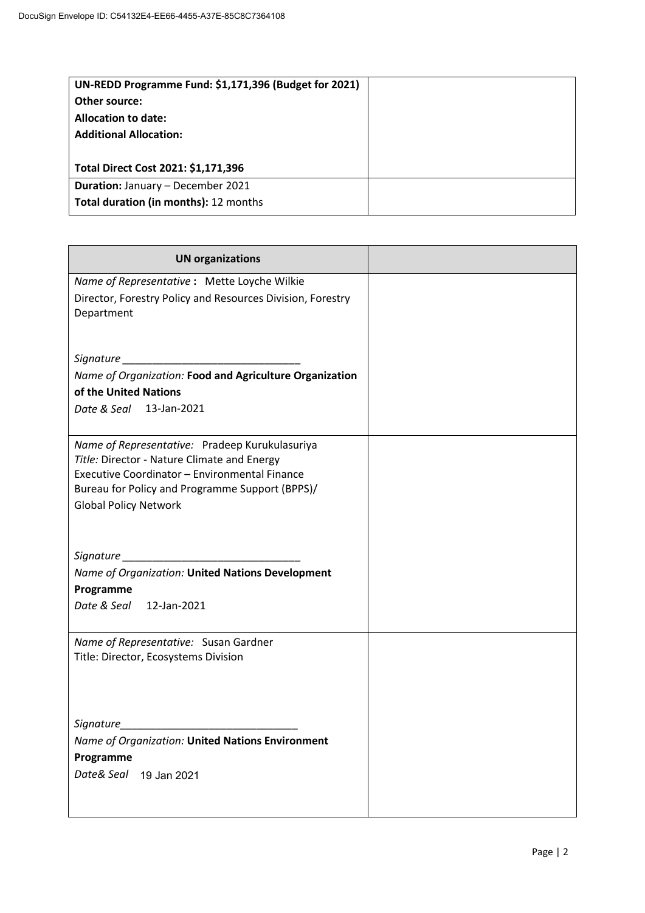| UN-REDD Programme Fund: \$1,171,396 (Budget for 2021) |  |
|-------------------------------------------------------|--|
| Other source:                                         |  |
| <b>Allocation to date:</b>                            |  |
| <b>Additional Allocation:</b>                         |  |
|                                                       |  |
| Total Direct Cost 2021: \$1,171,396                   |  |
| <b>Duration: January - December 2021</b>              |  |
| Total duration (in months): 12 months                 |  |

| <b>UN organizations</b>                                                                                                                                                                                                           |  |
|-----------------------------------------------------------------------------------------------------------------------------------------------------------------------------------------------------------------------------------|--|
| Name of Representative : Mette Loyche Wilkie<br>Director, Forestry Policy and Resources Division, Forestry<br>Department                                                                                                          |  |
| Signature                                                                                                                                                                                                                         |  |
| Name of Organization: Food and Agriculture Organization                                                                                                                                                                           |  |
| of the United Nations                                                                                                                                                                                                             |  |
| Date & Seal 13-Jan-2021                                                                                                                                                                                                           |  |
| Name of Representative: Pradeep Kurukulasuriya<br>Title: Director - Nature Climate and Energy<br>Executive Coordinator - Environmental Finance<br>Bureau for Policy and Programme Support (BPPS)/<br><b>Global Policy Network</b> |  |
|                                                                                                                                                                                                                                   |  |
| Name of Organization: United Nations Development                                                                                                                                                                                  |  |
| Programme                                                                                                                                                                                                                         |  |
| 12-Jan-2021<br>Date & Seal                                                                                                                                                                                                        |  |
| Name of Representative: Susan Gardner<br>Title: Director, Ecosystems Division                                                                                                                                                     |  |
| Signature                                                                                                                                                                                                                         |  |
| Name of Organization: United Nations Environment                                                                                                                                                                                  |  |
| Programme                                                                                                                                                                                                                         |  |
| Date& Seal<br>19 Jan 2021                                                                                                                                                                                                         |  |
|                                                                                                                                                                                                                                   |  |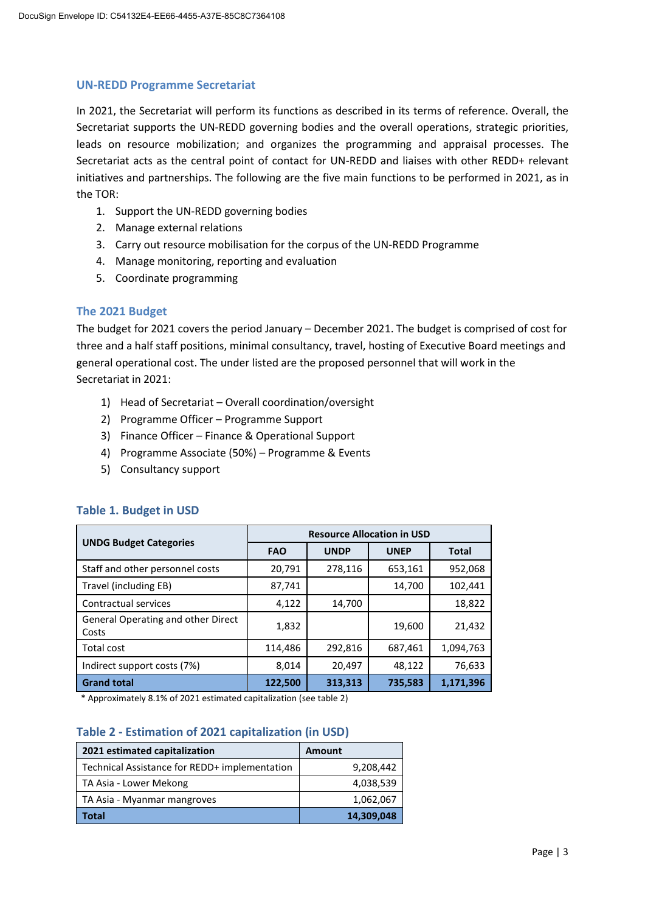### **UN-REDD Programme Secretariat**

In 2021, the Secretariat will perform its functions as described in its terms of reference. Overall, the Secretariat supports the UN-REDD governing bodies and the overall operations, strategic priorities, leads on resource mobilization; and organizes the programming and appraisal processes. The Secretariat acts as the central point of contact for UN-REDD and liaises with other REDD+ relevant initiatives and partnerships. The following are the five main functions to be performed in 2021, as in the TOR:

- 1. Support the UN-REDD governing bodies
- 2. Manage external relations
- 3. Carry out resource mobilisation for the corpus of the UN-REDD Programme
- 4. Manage monitoring, reporting and evaluation
- 5. Coordinate programming

## **The 2021 Budget**

The budget for 2021 covers the period January – December 2021. The budget is comprised of cost for three and a half staff positions, minimal consultancy, travel, hosting of Executive Board meetings and general operational cost. The under listed are the proposed personnel that will work in the Secretariat in 2021:

- 1) Head of Secretariat Overall coordination/oversight
- 2) Programme Officer Programme Support
- 3) Finance Officer Finance & Operational Support
- 4) Programme Associate (50%) Programme & Events
- 5) Consultancy support

|                                             | <b>Resource Allocation in USD</b> |             |             |              |
|---------------------------------------------|-----------------------------------|-------------|-------------|--------------|
| <b>UNDG Budget Categories</b>               | <b>FAO</b>                        | <b>UNDP</b> | <b>UNEP</b> | <b>Total</b> |
| Staff and other personnel costs             | 20,791                            | 278,116     | 653,161     | 952,068      |
| Travel (including EB)                       | 87,741                            |             | 14,700      | 102,441      |
| Contractual services                        | 4,122                             | 14,700      |             | 18,822       |
| General Operating and other Direct<br>Costs | 1,832                             |             | 19,600      | 21,432       |
| <b>Total cost</b>                           | 114,486                           | 292,816     | 687,461     | 1,094,763    |
| Indirect support costs (7%)                 | 8,014                             | 20,497      | 48,122      | 76,633       |
| <b>Grand total</b>                          | 122,500                           | 313,313     | 735,583     | 1,171,396    |

### **Table 1. Budget in USD**

\* Approximately 8.1% of 2021 estimated capitalization (see table 2)

## **Table 2 - Estimation of 2021 capitalization (in USD)**

| 2021 estimated capitalization                 | <b>Amount</b> |
|-----------------------------------------------|---------------|
| Technical Assistance for REDD+ implementation | 9,208,442     |
| TA Asia - Lower Mekong                        | 4,038,539     |
| TA Asia - Myanmar mangroves                   | 1,062,067     |
| Total                                         | 14,309,048    |